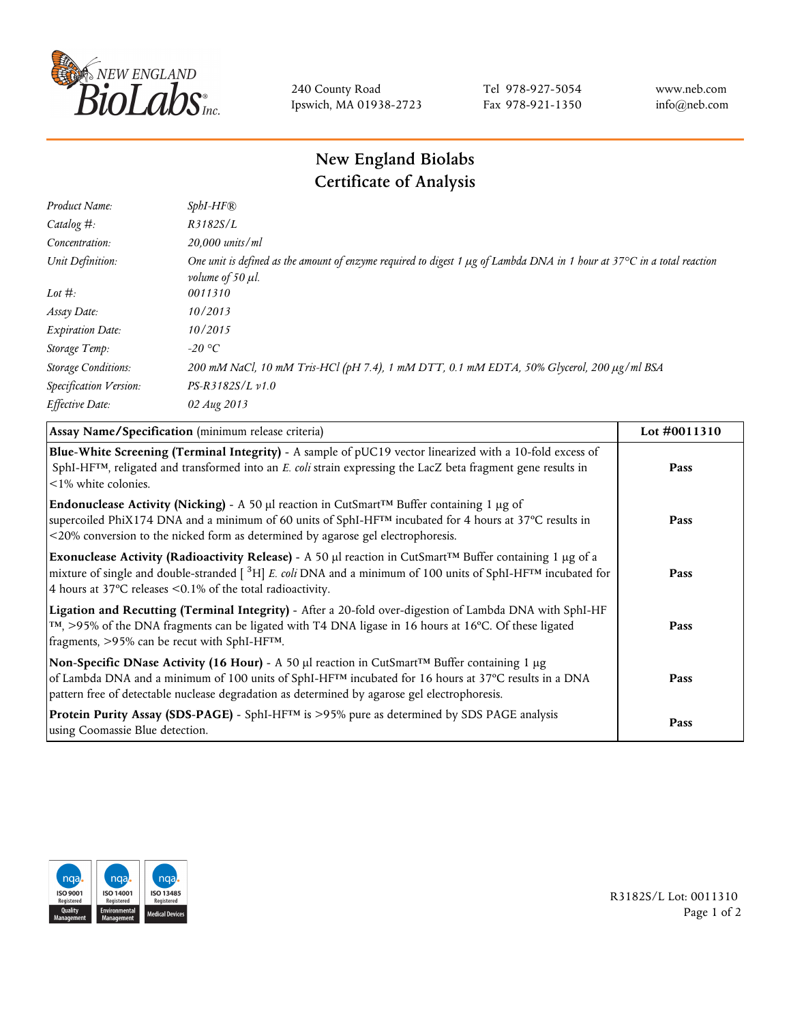

240 County Road Ipswich, MA 01938-2723 Tel 978-927-5054 Fax 978-921-1350 www.neb.com info@neb.com

## **New England Biolabs Certificate of Analysis**

| $SphI-HF$ $R$                                                                                                                                                          |
|------------------------------------------------------------------------------------------------------------------------------------------------------------------------|
| R3182S/L                                                                                                                                                               |
| $20,000$ units/ml                                                                                                                                                      |
| One unit is defined as the amount of enzyme required to digest 1 $\mu$ g of Lambda DNA in 1 hour at 37°C in a total reaction<br><i>volume of 50 <math>\mu</math>l.</i> |
| 0011310                                                                                                                                                                |
| 10/2013                                                                                                                                                                |
| 10/2015                                                                                                                                                                |
| $-20$ °C                                                                                                                                                               |
| 200 mM NaCl, 10 mM Tris-HCl (pH 7.4), 1 mM DTT, 0.1 mM EDTA, 50% Glycerol, 200 μg/ml BSA                                                                               |
| $PS-R3182S/L \nu 1.0$                                                                                                                                                  |
| 02 Aug 2013                                                                                                                                                            |
|                                                                                                                                                                        |

| Assay Name/Specification (minimum release criteria)                                                                                                                                                                                                                                                                                        | Lot #0011310 |
|--------------------------------------------------------------------------------------------------------------------------------------------------------------------------------------------------------------------------------------------------------------------------------------------------------------------------------------------|--------------|
| Blue-White Screening (Terminal Integrity) - A sample of pUC19 vector linearized with a 10-fold excess of<br>SphI-HF <sup>TM</sup> , religated and transformed into an E. coli strain expressing the LacZ beta fragment gene results in<br>$\leq$ 1% white colonies.                                                                        | Pass         |
| Endonuclease Activity (Nicking) - A 50 µl reaction in CutSmart <sup>TM</sup> Buffer containing 1 µg of<br>supercoiled PhiX174 DNA and a minimum of 60 units of SphI-HF™ incubated for 4 hours at 37°C results in<br><20% conversion to the nicked form as determined by agarose gel electrophoresis.                                       | Pass         |
| Exonuclease Activity (Radioactivity Release) - A 50 $\mu$ l reaction in CutSmart <sup>TM</sup> Buffer containing 1 $\mu$ g of a<br>mixture of single and double-stranded $[{}^{3}H]E$ . coli DNA and a minimum of 100 units of SphI-HF <sup>TM</sup> incubated for<br>4 hours at 37 $\degree$ C releases <0.1% of the total radioactivity. | Pass         |
| Ligation and Recutting (Terminal Integrity) - After a 20-fold over-digestion of Lambda DNA with SphI-HF<br>$\text{TM}$ , >95% of the DNA fragments can be ligated with T4 DNA ligase in 16 hours at 16 °C. Of these ligated<br>fragments, >95% can be recut with SphI-HFTM.                                                                | Pass         |
| Non-Specific DNase Activity (16 Hour) - A 50 µl reaction in CutSmart <sup>TM</sup> Buffer containing 1 µg<br>of Lambda DNA and a minimum of 100 units of SphI-HF <sup>TM</sup> incubated for 16 hours at 37°C results in a DNA<br>pattern free of detectable nuclease degradation as determined by agarose gel electrophoresis.            | Pass         |
| Protein Purity Assay (SDS-PAGE) - SphI-HF™ is >95% pure as determined by SDS PAGE analysis<br>using Coomassie Blue detection.                                                                                                                                                                                                              | Pass         |



R3182S/L Lot: 0011310 Page 1 of 2